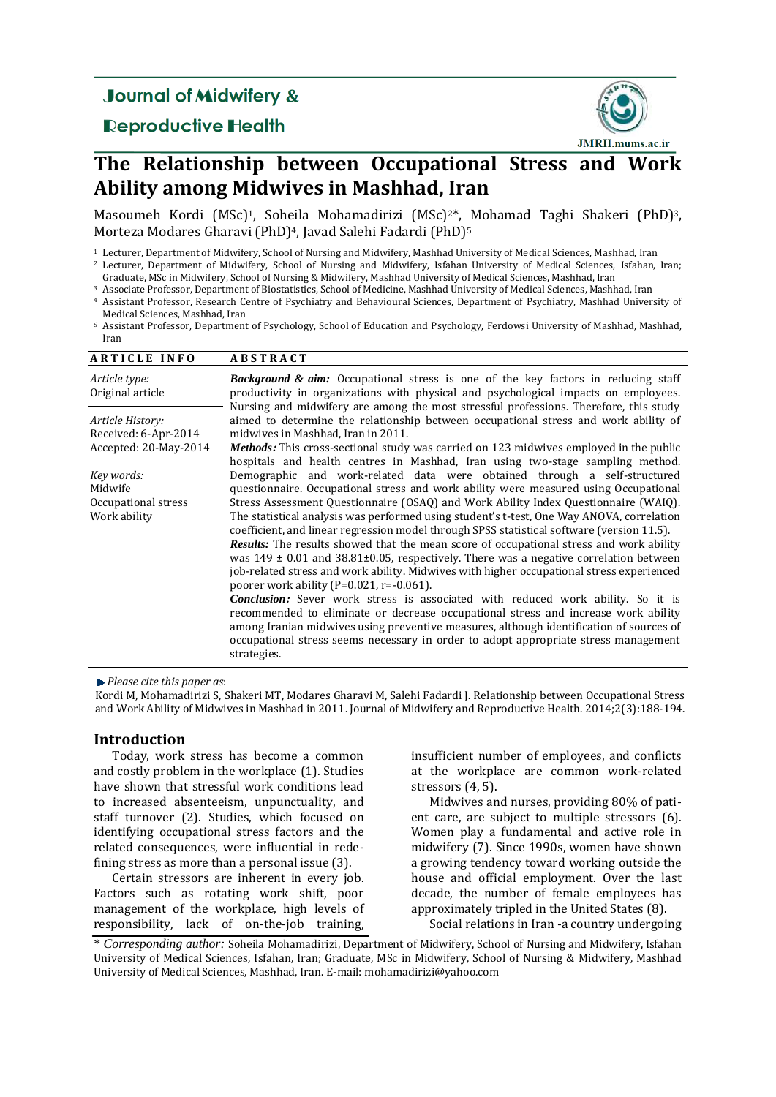## **Journal of Midwifery &**

## **Reproductive Health**



# **The Relationship between Occupational Stress and Work Ability among Midwives in Mashhad, Iran**

[Masoumeh Kordi](http://jmrh.mums.ac.ir/?_action=article&au=24894&_au=Masoumeh++Kordi) (MSc) <sup>1</sup>, [Soheila Mohamadirizi \(MSc\)](http://jmrh.mums.ac.ir/?_action=article&au=25002&_au=Soheila++Mohamadirizi) <sup>2</sup>\*, [Mohamad Taghi Shakeri](http://jmrh.mums.ac.ir/?_action=article&au=25003&_au=Mohamad+Taghi++Shakeri) (PhD)3, [Morteza Modares Gharavi](http://jmrh.mums.ac.ir/?_action=article&au=25004&_au=Morteza++Modares+Gharavi) (PhD)4, [Javad Salehi Fadardi](http://jmrh.mums.ac.ir/?_action=article&au=25005&_au=Javad++Salehi+Fadardi) (PhD)<sup>5</sup>

<sup>1</sup> Lecturer, Department of Midwifery, School of Nursing and Midwifery, Mashhad University of Medical Sciences, Mashhad, Iran

<sup>2</sup> Lecturer, Department of Midwifery, School of Nursing and Midwifery, Isfahan University of Medical Sciences, Isfahan, Iran; Graduate, MSc in Midwifery, School of Nursing & Midwifery, Mashhad University of Medical Sciences, Mashhad, Iran

<sup>3</sup> Associate Professor, Department of Biostatistics, School of Medicine, Mashhad University of Medical Sciences, Mashhad, Iran

<sup>4</sup> Assistant Professor, Research Centre of Psychiatry and Behavioural Sciences, Department of Psychiatry, Mashhad University of Medical Sciences, Mashhad, Iran

<sup>5</sup> Assistant Professor, Department of Psychology, School of Education and Psychology, Ferdowsi University of Mashhad, Mashhad, Iran

## **A R T I C L E I N F O A B S T R A C T**

| Article type:<br>Original article                                 | <b>Background &amp; aim:</b> Occupational stress is one of the key factors in reducing staff<br>productivity in organizations with physical and psychological impacts on employees.<br>Nursing and midwifery are among the most stressful professions. Therefore, this study                                                                                                                                                                                                                                                                                                                                                                                                                                                                                                                                                                                                                                                                                                                                                                                                                                                                                                                |  |  |  |  |  |
|-------------------------------------------------------------------|---------------------------------------------------------------------------------------------------------------------------------------------------------------------------------------------------------------------------------------------------------------------------------------------------------------------------------------------------------------------------------------------------------------------------------------------------------------------------------------------------------------------------------------------------------------------------------------------------------------------------------------------------------------------------------------------------------------------------------------------------------------------------------------------------------------------------------------------------------------------------------------------------------------------------------------------------------------------------------------------------------------------------------------------------------------------------------------------------------------------------------------------------------------------------------------------|--|--|--|--|--|
| Article History:<br>Received: 6-Apr-2014<br>Accepted: 20-May-2014 | aimed to determine the relationship between occupational stress and work ability of<br>midwives in Mashhad, Iran in 2011.<br><i>Methods:</i> This cross-sectional study was carried on 123 midwives employed in the public<br>hospitals and health centres in Mashhad, Iran using two-stage sampling method.                                                                                                                                                                                                                                                                                                                                                                                                                                                                                                                                                                                                                                                                                                                                                                                                                                                                                |  |  |  |  |  |
| Key words:<br>Midwife<br>Occupational stress<br>Work ability      | Demographic and work-related data were obtained through a self-structured<br>questionnaire. Occupational stress and work ability were measured using Occupational<br>Stress Assessment Questionnaire (OSAQ) and Work Ability Index Questionnaire (WAIQ).<br>The statistical analysis was performed using student's t-test, One Way ANOVA, correlation<br>coefficient, and linear regression model through SPSS statistical software (version 11.5).<br><b>Results:</b> The results showed that the mean score of occupational stress and work ability<br>was $149 \pm 0.01$ and $38.81 \pm 0.05$ , respectively. There was a negative correlation between<br>job-related stress and work ability. Midwives with higher occupational stress experienced<br>poorer work ability ( $P=0.021$ , r= $-0.061$ ).<br><b>Conclusion:</b> Sever work stress is associated with reduced work ability. So it is<br>recommended to eliminate or decrease occupational stress and increase work ability<br>among Iranian midwives using preventive measures, although identification of sources of<br>occupational stress seems necessary in order to adopt appropriate stress management<br>strategies. |  |  |  |  |  |

*Please cite this paper as*:

[Kordi](http://jmrh.mums.ac.ir/?_action=article&au=24894&_au=Masoumeh++Kordi) M, [Mohamadirizi S,](http://jmrh.mums.ac.ir/?_action=article&au=25002&_au=Soheila++Mohamadirizi) [Shakeri](http://jmrh.mums.ac.ir/?_action=article&au=25003&_au=Mohamad+Taghi++Shakeri) MT[, Modares Gharavi](http://jmrh.mums.ac.ir/?_action=article&au=25004&_au=Morteza++Modares+Gharavi) M[, Salehi Fadardi](http://jmrh.mums.ac.ir/?_action=article&au=25005&_au=Javad++Salehi+Fadardi) J. Relationship between Occupational Stress and Work Ability of Midwives in Mashhad in 2011. Journal of Midwifery and Reproductive Health. 2014;2(3):188-194.

## **Introduction**

Today, work stress has become a common and costly problem in the workplace [\(1\)](#page-5-0). Studies have shown that stressful work conditions lead to increased absenteeism, unpunctuality, and staff turnover [\(2\)](#page-5-1). Studies, which focused on identifying occupational stress factors and the related consequences, were influential in redefining stress as more than a personal issue [\(3\)](#page-5-2).

Certain stressors are inherent in every job. Factors such as rotating work shift, poor management of the workplace, high levels of responsibility, lack of on-the-job training,

insufficient number of employees, and conflicts at the workplace are common work-related stressors [\(4,](#page-5-3) [5\)](#page-5-4).

Midwives and nurses, providing 80% of patient care, are subject to multiple stressors [\(6\)](#page-5-5). Women play a fundamental and active role in midwifery (7). Since 1990s, women have shown a growing tendency toward working outside the house and official employment. Over the last decade, the number of female employees has approximately tripled in the United States [\(8\)](#page-5-6).

Social relations in Iran -a country undergoing

\* *Corresponding author:* Soheila Mohamadirizi, Department of Midwifery, School of Nursing and Midwifery, Isfahan University of Medical Sciences, Isfahan, Iran; Graduate, MSc in Midwifery, School of Nursing & Midwifery, Mashhad University of Medical Sciences, Mashhad, Iran. E-mail: mohamadirizi@yahoo.com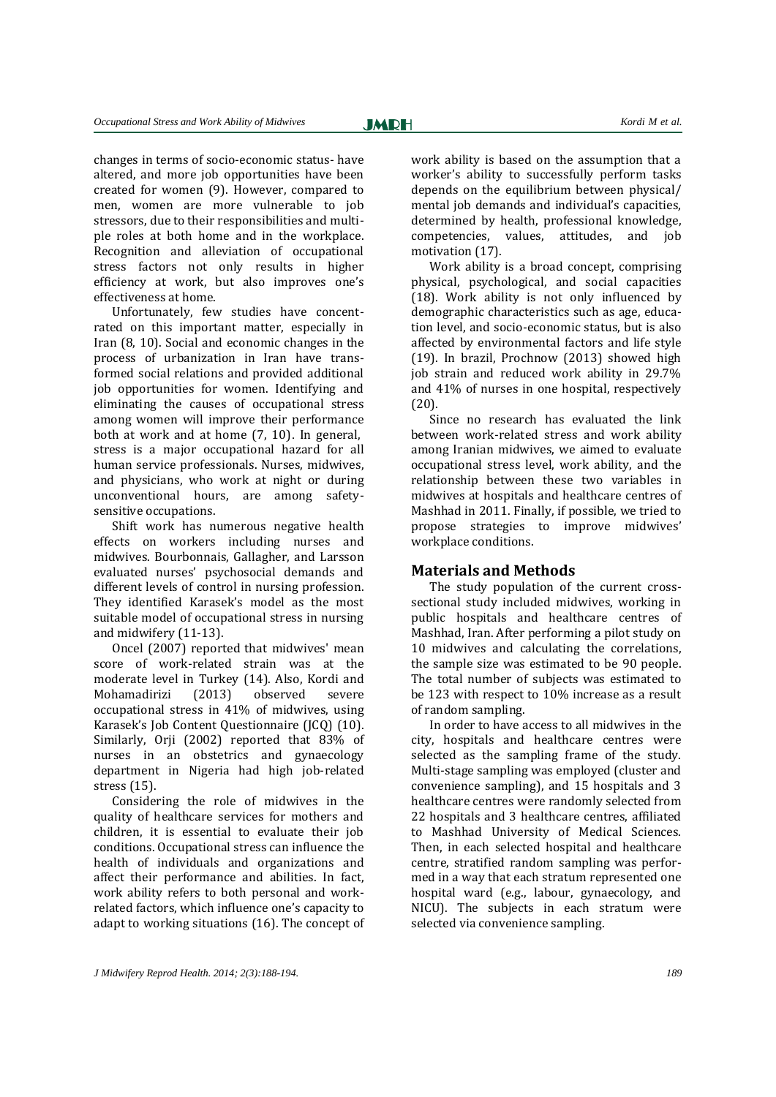changes in terms of socio-economic status- have altered, and more job opportunities have been created for women [\(9\)](#page-5-7). However, compared to men, women are more vulnerable to job stressors, due to their responsibilities and multiple roles at both home and in the workplace. Recognition and alleviation of occupational stress factors not only results in higher efficiency at work, but also improves one's effectiveness at home.

Unfortunately, few studies have concentrated on this important matter, especially in Iran [\(8,](#page-5-6) [10\)](#page-5-8). Social and economic changes in the process of urbanization in Iran have transformed social relations and provided additional job opportunities for women. Identifying and eliminating the causes of occupational stress among women will improve their performance both at work and at home [\(7,](#page-5-6) [10\)](#page-5-8). In general, stress is a major occupational hazard for all human service professionals. Nurses, midwives, and physicians, who work at night or during unconventional hours, are among safetysensitive occupations.

Shift work has numerous negative health effects on workers including nurses and midwives. Bourbonnais, Gallagher, and Larsson evaluated nurses' psychosocial demands and different levels of control in nursing profession. They identified Karasek's model as the most suitable model of occupational stress in nursing and midwifery (11-13).

Oncel (2007) reported that midwives' mean score of work-related strain was at the moderate level in Turkey [\(14\)](#page-5-9). Also, Kordi and Mohamadirizi (2013) observed severe occupational stress in 41% of midwives, using Karasek's Job Content Questionnaire (JCQ) [\(10\)](#page-5-8). Similarly, Orji (2002) reported that 83% of nurses in an obstetrics and gynaecology department in Nigeria had high job-related stress [\(15\)](#page-6-0).

Considering the role of midwives in the quality of healthcare services for mothers and children, it is essential to evaluate their job conditions. Occupational stress can influence the health of individuals and organizations and affect their performance and abilities. In fact, work ability refers to both personal and workrelated factors, which influence one's capacity to adapt to working situations [\(16\)](#page-6-1). The concept of work ability is based on the assumption that a worker's ability to successfully perform tasks depends on the equilibrium between physical/ mental job demands and individual's capacities, determined by health, professional knowledge, competencies, values, attitudes, and job motivation [\(17\)](#page-6-2).

Work ability is a broad concept, comprising physical, psychological, and social capacities [\(18\)](#page-6-3). Work ability is not only influenced by demographic characteristics such as age, education level, and socio-economic status, but is also affected by environmental factors and life style (19). In brazil, Prochnow (2013) showed high job strain and reduced work ability in 29.7% and 41% of nurses in one hospital, respectively (20).

Since no research has evaluated the link between work-related stress and work ability among Iranian midwives, we aimed to evaluate occupational stress level, work ability, and the relationship between these two variables in midwives at hospitals and healthcare centres of Mashhad in 2011. Finally, if possible, we tried to propose strategies to improve midwives' workplace conditions.

## **Materials and Methods**

The study population of the current crosssectional study included midwives, working in public hospitals and healthcare centres of Mashhad, Iran. After performing a pilot study on 10 midwives and calculating the correlations, the sample size was estimated to be 90 people. The total number of subjects was estimated to be 123 with respect to 10% increase as a result of random sampling.

In order to have access to all midwives in the city, hospitals and healthcare centres were selected as the sampling frame of the study. Multi-stage sampling was employed (cluster and convenience sampling), and 15 hospitals and 3 healthcare centres were randomly selected from 22 hospitals and 3 healthcare centres, affiliated to Mashhad University of Medical Sciences. Then, in each selected hospital and healthcare centre, stratified random sampling was performed in a way that each stratum represented one hospital ward (e.g., labour, gynaecology, and NICU). The subjects in each stratum were selected via convenience sampling.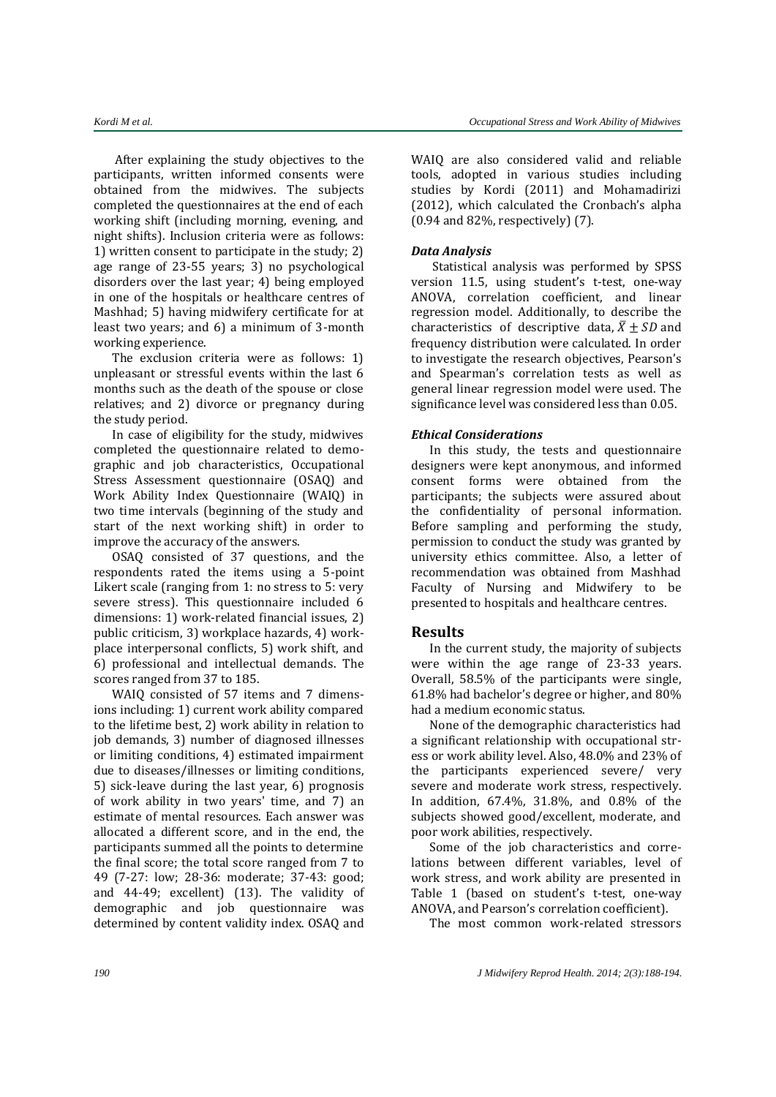After explaining the study objectives to the participants, written informed consents were obtained from the midwives. The subjects completed the questionnaires at the end of each working shift (including morning, evening, and night shifts). Inclusion criteria were as follows: 1) written consent to participate in the study; 2) age range of 23-55 years; 3) no psychological disorders over the last year; 4) being employed in one of the hospitals or healthcare centres of Mashhad; 5) having midwifery certificate for at least two years; and 6) a minimum of 3-month working experience.

The exclusion criteria were as follows: 1) unpleasant or stressful events within the last 6 months such as the death of the spouse or close relatives; and 2) divorce or pregnancy during the study period.

In case of eligibility for the study, midwives completed the questionnaire related to demographic and job characteristics, Occupational Stress Assessment questionnaire (OSAQ) and Work Ability Index Questionnaire (WAIQ) in two time intervals (beginning of the study and start of the next working shift) in order to improve the accuracy of the answers.

OSAQ consisted of 37 questions, and the respondents rated the items using a 5-point Likert scale (ranging from 1: no stress to 5: very severe stress). This questionnaire included 6 dimensions: 1) work-related financial issues, 2) public criticism, 3) workplace hazards, 4) workplace interpersonal conflicts, 5) work shift, and 6) professional and intellectual demands. The scores ranged from 37 to 185.

WAIQ consisted of 57 items and 7 dimensions including: 1) current work ability compared to the lifetime best, 2) work ability in relation to job demands, 3) number of diagnosed illnesses or limiting conditions, 4) estimated impairment due to diseases/illnesses or limiting conditions, 5) sick-leave during the last year, 6) prognosis of work ability in two years' time, and 7) an estimate of mental resources. Each answer was allocated a different score, and in the end, the participants summed all the points to determine the final score; the total score ranged from 7 to 49 (7-27: low; 28-36: moderate; 37-43: good; and 44-49; excellent) (13). The validity of demographic and job questionnaire was determined by content validity index. OSAQ and

WAIQ are also considered valid and reliable tools, adopted in various studies including studies by Kordi (2011) and Mohamadirizi (2012), which calculated the Cronbach's alpha (0.94 and 82%, respectively) (7).

## *Data Analysis*

Statistical analysis was performed by SPSS version 11.5, using student's t-test, one-way ANOVA, correlation coefficient, and linear regression model. Additionally, to describe the characteristics of descriptive data,  $\bar{X}$  + SD and frequency distribution were calculated. In order to investigate the research objectives, Pearson's and Spearman's correlation tests as well as general linear regression model were used. The significance level was considered less than 0.05.

## *Ethical Considerations*

In this study, the tests and questionnaire designers were kept anonymous, and informed consent forms were obtained from the participants; the subjects were assured about the confidentiality of personal information. Before sampling and performing the study, permission to conduct the study was granted by university ethics committee. Also, a letter of recommendation was obtained from Mashhad Faculty of Nursing and Midwifery to be presented to hospitals and healthcare centres.

## **Results**

In the current study, the majority of subjects were within the age range of 23-33 years. Overall, 58.5% of the participants were single, 61.8% had bachelor's degree or higher, and 80% had a medium economic status.

None of the demographic characteristics had a significant relationship with occupational stress or work ability level. Also, 48.0% and 23% of the participants experienced severe/ very severe and moderate work stress, respectively. In addition, 67.4%, 31.8%, and 0.8% of the subjects showed good/excellent, moderate, and poor work abilities, respectively.

Some of the job characteristics and correlations between different variables, level of work stress, and work ability are presented in Table 1 (based on student's t-test, one-way ANOVA, and Pearson's correlation coefficient).

The most common work-related stressors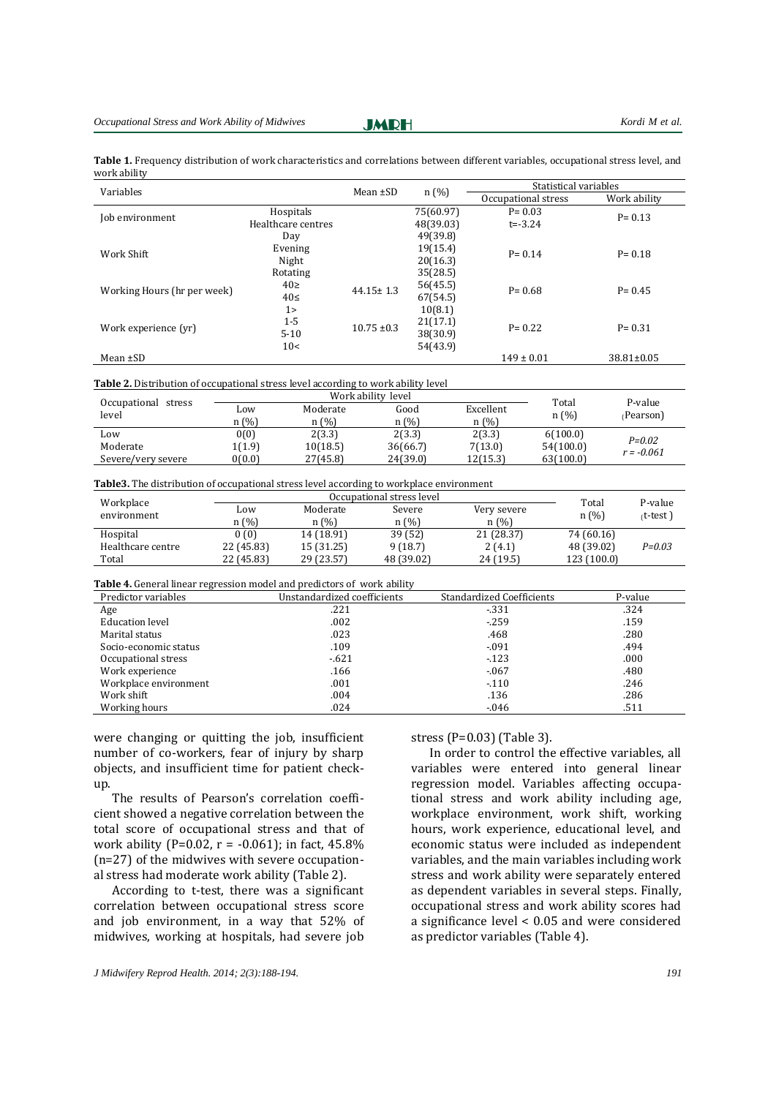**JMRH** 

|              | Table 1. Frequency distribution of work characteristics and correlations between different variables, occupational stress level, and |  |  |
|--------------|--------------------------------------------------------------------------------------------------------------------------------------|--|--|
| work ability |                                                                                                                                      |  |  |

| Variables                   |                    | Mean $\pm$ SD   |           | Statistical variables |                  |  |
|-----------------------------|--------------------|-----------------|-----------|-----------------------|------------------|--|
|                             |                    |                 | n(%)      | Occupational stress   | Work ability     |  |
| Job environment             | Hospitals          |                 | 75(60.97) | $P = 0.03$            | $P = 0.13$       |  |
|                             | Healthcare centres |                 | 48(39.03) | $t = -3.24$           |                  |  |
|                             | Day                |                 | 49(39.8)  |                       |                  |  |
| Work Shift                  | Evening            |                 | 19(15.4)  | $P = 0.14$            | $P = 0.18$       |  |
|                             | Night              |                 | 20(16.3)  |                       |                  |  |
|                             | Rotating           |                 | 35(28.5)  |                       |                  |  |
| Working Hours (hr per week) | $40\square$        | $44.15 \pm 1.3$ | 56(45.5)  | $P = 0.68$            | $P = 0.45$       |  |
|                             | 40<                |                 | 67(54.5)  |                       |                  |  |
|                             | $1\geq$            |                 | 10(8.1)   |                       |                  |  |
| Work experience (yr)        | $1 - 5$            | $10.75 \pm 0.3$ | 21(17.1)  | $P = 0.22$            | $P = 0.31$       |  |
|                             | $5 - 10$           |                 | 38(30.9)  |                       |                  |  |
|                             | 10<                |                 | 54(43.9)  |                       |                  |  |
| Mean $\pm SD$               |                    |                 |           | $149 \pm 0.01$        | $38.81 \pm 0.05$ |  |
|                             |                    |                 |           |                       |                  |  |

#### **Table 2.** Distribution of occupational stress level according to work ability level

|                              |                  | Work ability level |          |           |               | P-value      |
|------------------------------|------------------|--------------------|----------|-----------|---------------|--------------|
| Occupational stress<br>level | L <sub>0</sub> W | Moderate           | Good     | Excellent | Total<br>n(%) |              |
|                              | n (%)            | n(%)               | n(%)     | n(%)      |               | (Pearson)    |
| Low                          | 0(0)             | 2(3.3)             | 2(3.3)   | 2(3.3)    | 6(100.0)      | $P = 0.02$   |
| Moderate                     | 1(1.9)           | 10(18.5)           | 36(66.7) | 7(13.0)   | 54(100.0)     | $r = -0.061$ |
| Severe/very severe           | 0(0.0)           | 27(45.8)           | 24(39.0) | 12(15.3)  | 63(100.0)     |              |

#### **Table3.** The distribution of occupational stress level according to workplace environment

|                          | Occupational stress level |            |            |             | Total       | P-value   |
|--------------------------|---------------------------|------------|------------|-------------|-------------|-----------|
| Workplace<br>environment | LOW                       | Moderate   | Severe     | Very severe | n(%)        | (t-test)، |
|                          | n (%)                     | n (%)      | n(%)       | n (%)       |             |           |
| Hospital                 | 0(0)                      | 14 (18.91) | 39 (52)    | 21 (28.37)  | 74 (60.16)  |           |
| Healthcare centre        | 22 (45.83)                | 15 (31.25) | 9(18.7)    | 2(4.1)      | 48 (39.02)  | P=0.03    |
| Total                    | 22 (45.83)                | 29 (23.57) | 48 (39.02) | 24 (19.5)   | 123 (100.0) |           |

#### **Table 4.** General linear regression model and predictors of work ability

| Predictor variables   | Unstandardized coefficients | <b>Standardized Coefficients</b> | P-value |
|-----------------------|-----------------------------|----------------------------------|---------|
| Age                   | .221                        | $-331$                           | .324    |
| Education level       | .002                        | $-259$                           | .159    |
| Marital status        | .023                        | .468                             | .280    |
| Socio-economic status | .109                        | $-0.091$                         | .494    |
| Occupational stress   | $-.621$                     | $-123$                           | .000    |
| Work experience       | .166                        | $-0.67$                          | .480    |
| Workplace environment | .001                        | $-110$                           | .246    |
| Work shift            | .004                        | .136                             | .286    |
| Working hours         | .024                        | $-.046$                          | .511    |

were changing or quitting the job, insufficient number of co-workers, fear of injury by sharp objects, and insufficient time for patient checkup.

The results of Pearson's correlation coefficient showed a negative correlation between the total score of occupational stress and that of work ability (P=0.02, r =  $-0.061$ ); in fact, 45.8% (n=27) of the midwives with severe occupational stress had moderate work ability (Table 2).

According to t-test, there was a significant correlation between occupational stress score and job environment, in a way that 52% of midwives, working at hospitals, had severe job

stress (P=0.03) (Table 3).

In order to control the effective variables, all variables were entered into general linear regression model. Variables affecting occupational stress and work ability including age, workplace environment, work shift, working hours, work experience, educational level, and economic status were included as independent variables, and the main variables including work stress and work ability were separately entered as dependent variables in several steps. Finally, occupational stress and work ability scores had a significance level < 0.05 and were considered as predictor variables (Table 4).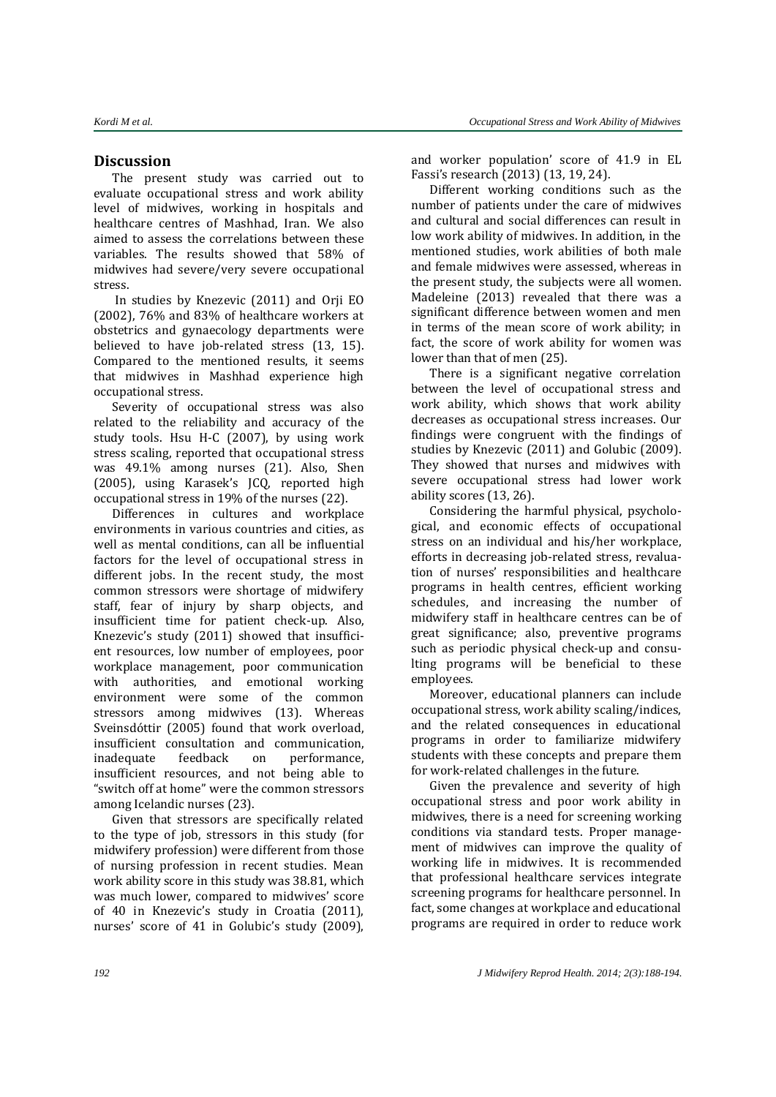## **Discussion**

The present study was carried out to evaluate occupational stress and work ability level of midwives, working in hospitals and healthcare centres of Mashhad, Iran. We also aimed to assess the correlations between these variables. The results showed that 58% of midwives had severe/very severe occupational stress.

In studies by Knezevic (2011) and [Orji EO](http://www.ncbi.nlm.nih.gov/pubmed?term=Orji%20EO%5BAuthor%5D&cauthor=true&cauthor_uid=12521735) (2002), 76% and 83% of healthcare workers at obstetrics and gynaecology departments were believed to have job-related stress [\(13,](#page-6-0) 15). Compared to the mentioned results, it seems that midwives in Mashhad experience high occupational stress.

Severity of occupational stress was also related to the reliability and accuracy of the study tools. Hsu H-C (2007), by using work stress scaling, reported that occupational stress was 49.1% among nurses [\(21\)](#page-6-4). Also, Shen (2005), using Karasek's JCQ, reported high occupational stress in 19% of the nurses [\(22\)](#page-6-5).

Differences in cultures and workplace environments in various countries and cities, as well as mental conditions, can all be influential factors for the level of occupational stress in different jobs. In the recent study, the most common stressors were shortage of midwifery staff, fear of injury by sharp objects, and insufficient time for patient check-up. Also, Knezevic's study (2011) showed that insufficient resources, low number of employees, poor workplace management, poor communication with authorities, and emotional working environment were some of the common stressors among midwives (13). Whereas Sveinsdóttir (2005) found that work overload, insufficient consultation and communication, inadequate feedback on performance, insufficient resources, and not being able to "switch off at home" were the common stressors among Icelandic nurses [\(23\)](#page-6-6).

Given that stressors are specifically related to the type of job, stressors in this study (for midwifery profession) were different from those of nursing profession in recent studies. Mean work ability score in this study was 38.81, which was much lower, compared to midwives' score of 40 in Knezevic's study in Croatia (2011), nurses' score of 41 in Golubic's study (2009), and worker population' score of 41.9 in EL Fassi's research (2013) (13, 19, 24).

Different working conditions such as the number of patients under the care of midwives and cultural and social differences can result in low work ability of midwives. In addition, in the mentioned studies, work abilities of both male and female midwives were assessed, whereas in the present study, the subjects were all women. Madeleine (2013) revealed that there was a significant difference between women and men in terms of the mean score of work ability; in fact, the score of work ability for women was lower than that of men [\(25\)](#page-6-7).

There is a significant negative correlation between the level of occupational stress and work ability, which shows that work ability decreases as occupational stress increases. Our findings were congruent with the findings of studies by Knezevic (2011) and Golubic (2009). They showed that nurses and midwives with severe occupational stress had lower work ability scores (13, 26).

Considering the harmful physical, psychological, and economic effects of occupational stress on an individual and his/her workplace, efforts in decreasing job-related stress, revaluation of nurses' responsibilities and healthcare programs in health centres, efficient working schedules, and increasing the number of midwifery staff in healthcare centres can be of great significance; also, preventive programs such as periodic physical check-up and consulting programs will be beneficial to these employees.

Moreover, educational planners can include occupational stress, work ability scaling/indices, and the related consequences in educational programs in order to familiarize midwifery students with these concepts and prepare them for work-related challenges in the future.

Given the prevalence and severity of high occupational stress and poor work ability in midwives, there is a need for screening working conditions via standard tests. Proper management of midwives can improve the quality of working life in midwives. It is recommended that professional healthcare services integrate screening programs for healthcare personnel. In fact, some changes at workplace and educational programs are required in order to reduce work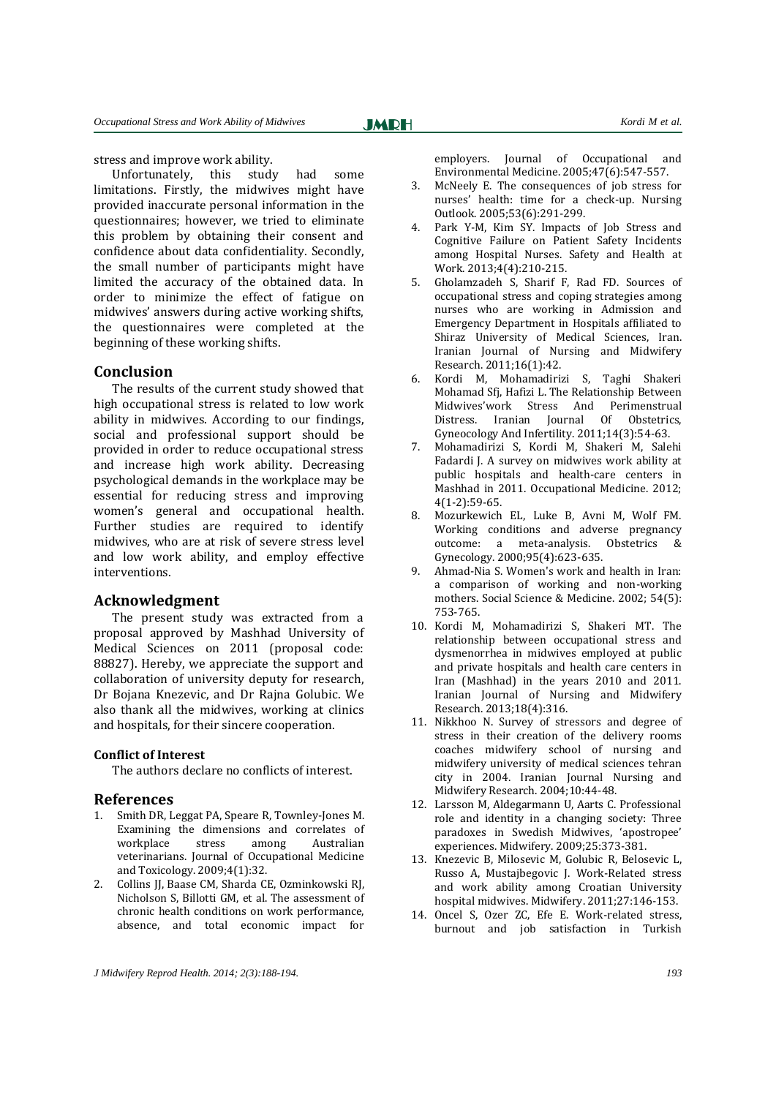stress and improve work ability.

Unfortunately, this study had some limitations. Firstly, the midwives might have provided inaccurate personal information in the questionnaires; however, we tried to eliminate this problem by obtaining their consent and confidence about data confidentiality. Secondly, the small number of participants might have limited the accuracy of the obtained data. In order to minimize the effect of fatigue on midwives' answers during active working shifts, the questionnaires were completed at the beginning of these working shifts.

### **Conclusion**

The results of the current study showed that high occupational stress is related to low work ability in midwives. According to our findings, social and professional support should be provided in order to reduce occupational stress and increase high work ability. Decreasing psychological demands in the workplace may be essential for reducing stress and improving women's general and occupational health. Further studies are required to identify midwives, who are at risk of severe stress level and low work ability, and employ effective interventions.

### **Acknowledgment**

The present study was extracted from a proposal approved by Mashhad University of Medical Sciences on 2011 (proposal code: 88827). Hereby, we appreciate the support and collaboration of university deputy for research, Dr Bojana Knezevic, and Dr Rajna Golubic. We also thank all the midwives, working at clinics and hospitals, for their sincere cooperation.

#### **Conflict of Interest**

The authors declare no conflicts of interest.

#### **References**

- <span id="page-5-0"></span>1. Smith DR, Leggat PA, Speare R, Townley-Jones M. Examining the dimensions and correlates of workplace stress among Australian veterinarians. Journal of Occupational Medicine and Toxicology. 2009;4(1):32.
- <span id="page-5-1"></span>2. Collins JJ, Baase CM, Sharda CE, Ozminkowski RJ, Nicholson S, Billotti GM, et al. The assessment of chronic health conditions on work performance, absence, and total economic impact for

employers. Journal of Occupational and Environmental Medicine. 2005;47(6):547-557.

- <span id="page-5-2"></span>McNeely E. The consequences of job stress for nurses' health: time for a check-up. Nursing Outlook. 2005;53(6):291-299.
- <span id="page-5-3"></span>4. Park Y-M, Kim SY. Impacts of Job Stress and Cognitive Failure on Patient Safety Incidents among Hospital Nurses. Safety and Health at Work. 2013;4(4):210-215.
- <span id="page-5-4"></span>5. Gholamzadeh S, Sharif F, Rad FD. Sources of occupational stress and coping strategies among nurses who are working in Admission and Emergency Department in Hospitals affiliated to Shiraz University of Medical Sciences, Iran. Iranian Journal of Nursing and Midwifery Research. 2011;16(1):42.
- <span id="page-5-5"></span>6. Kordi M, Mohamadirizi S, Taghi Shakeri Mohamad Sfj, Hafizi L. The Relationship Between Midwives'work Stress And Perimenstrual Distress. Iranian Journal Of Obstetrics, Gyneocology And Infertility. 2011;14(3):54-63.
- 7. Mohamadirizi S, Kordi M, Shakeri M, Salehi Fadardi J. A survey on midwives work ability at public hospitals and health-care centers in Mashhad in 2011. Occupational Medicine. 2012; 4(1-2):59-65.
- <span id="page-5-6"></span>8. Mozurkewich EL, Luke B, Avni M, Wolf FM. Working conditions and adverse pregnancy outcome: a meta-analysis. Obstetrics & Gynecology. 2000;95(4):623-635.
- <span id="page-5-7"></span>9. Ahmad-Nia S. Women's work and health in Iran: a comparison of working and non-working mothers. Social Science & Medicine. 2002; 54(5): 753-765.
- <span id="page-5-8"></span>10. Kordi M, Mohamadirizi S, Shakeri MT. The relationship between occupational stress and dysmenorrhea in midwives employed at public and private hospitals and health care centers in Iran (Mashhad) in the years 2010 and 2011. Iranian Journal of Nursing and Midwifery Research. 2013;18(4):316.
- 11. Nikkhoo N. Survey of stressors and degree of stress in their creation of the delivery rooms coaches midwifery school of nursing and midwifery university of medical sciences tehran city in 2004. Iranian Journal Nursing and Midwifery Research. 2004;10:44-48.
- 12. Larsson M, Aldegarmann U, Aarts C. Professional role and identity in a changing society: Three paradoxes in Swedish Midwives, 'apostropee' experiences. Midwifery. 2009;25:373-381.
- 13. Knezevic B, Milosevic M, Golubic R, Belosevic L, Russo A, Mustajbegovic J. Work-Related stress and work ability among Croatian University hospital midwives. Midwifery. 2011;27:146-153.
- <span id="page-5-9"></span>14. Oncel S, Ozer ZC, Efe E. Work-related stress, burnout and job satisfaction in Turkish